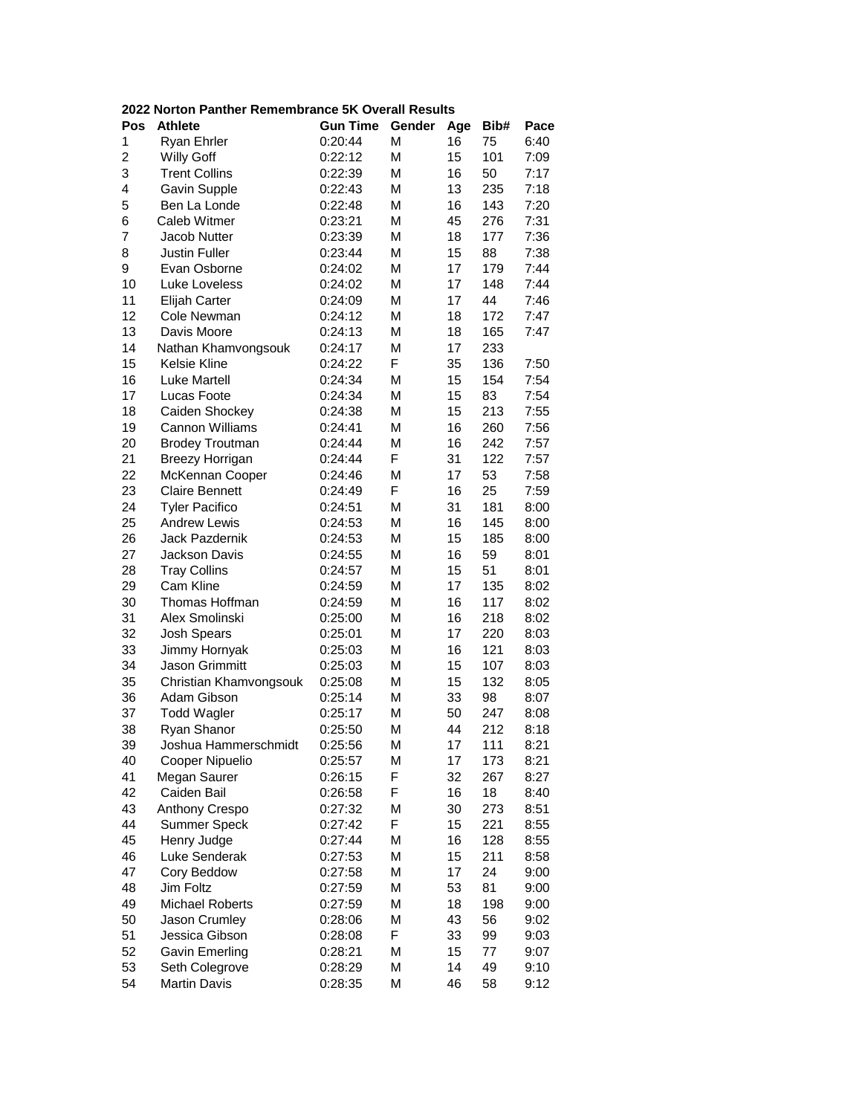|  |  | 2022 Norton Panther Remembrance 5K Overall Results |  |  |  |
|--|--|----------------------------------------------------|--|--|--|
|--|--|----------------------------------------------------|--|--|--|

| Pos            | <b>Athlete</b>         | <b>Gun Time</b> | Gender | Age | Bib# | Pace |
|----------------|------------------------|-----------------|--------|-----|------|------|
| 1              | Ryan Ehrler            | 0:20:44         | M      | 16  | 75   | 6:40 |
| $\overline{c}$ | <b>Willy Goff</b>      | 0:22:12         | М      | 15  | 101  | 7:09 |
| 3              | <b>Trent Collins</b>   | 0:22:39         | M      | 16  | 50   | 7:17 |
| 4              | Gavin Supple           | 0:22:43         | М      | 13  | 235  | 7:18 |
| 5              | Ben La Londe           | 0:22:48         | М      | 16  | 143  | 7:20 |
| 6              | Caleb Witmer           | 0:23:21         | М      | 45  | 276  | 7:31 |
| 7              | Jacob Nutter           | 0:23:39         | М      | 18  | 177  | 7:36 |
| 8              | <b>Justin Fuller</b>   | 0:23:44         | М      | 15  | 88   | 7:38 |
| 9              | Evan Osborne           | 0:24:02         | М      | 17  | 179  | 7:44 |
| 10             | Luke Loveless          | 0:24:02         | М      | 17  | 148  | 7:44 |
| 11             | Elijah Carter          | 0:24:09         | М      | 17  | 44   | 7:46 |
| 12             | Cole Newman            | 0:24:12         | М      | 18  | 172  | 7:47 |
| 13             | Davis Moore            | 0:24:13         | M      | 18  | 165  | 7:47 |
| 14             | Nathan Khamvongsouk    | 0:24:17         | M      | 17  | 233  |      |
| 15             | Kelsie Kline           | 0:24:22         | F      | 35  | 136  | 7:50 |
| 16             | <b>Luke Martell</b>    | 0:24:34         | M      | 15  | 154  | 7:54 |
| 17             | Lucas Foote            | 0:24:34         | М      | 15  | 83   | 7:54 |
| 18             | Caiden Shockey         | 0:24:38         | М      | 15  | 213  | 7:55 |
| 19             | Cannon Williams        | 0:24:41         | М      | 16  | 260  | 7:56 |
| 20             | <b>Brodey Troutman</b> | 0:24:44         | М      | 16  | 242  | 7:57 |
| 21             | <b>Breezy Horrigan</b> | 0:24:44         | F      | 31  | 122  | 7:57 |
| 22             | McKennan Cooper        | 0:24:46         | M      | 17  | 53   | 7:58 |
| 23             | <b>Claire Bennett</b>  | 0:24:49         | F      | 16  | 25   | 7:59 |
| 24             | <b>Tyler Pacifico</b>  | 0:24:51         | M      | 31  | 181  | 8:00 |
| 25             | <b>Andrew Lewis</b>    | 0:24:53         | М      | 16  | 145  | 8:00 |
| 26             | Jack Pazdernik         | 0:24:53         | М      | 15  | 185  | 8:00 |
| 27             | Jackson Davis          | 0:24:55         | М      | 16  | 59   | 8:01 |
| 28             | <b>Tray Collins</b>    | 0:24:57         | М      | 15  | 51   | 8:01 |
| 29             | Cam Kline              | 0:24:59         | М      | 17  | 135  | 8:02 |
| 30             | Thomas Hoffman         | 0:24:59         | М      | 16  | 117  | 8:02 |
| 31             | Alex Smolinski         | 0:25:00         | М      | 16  | 218  | 8:02 |
| 32             | <b>Josh Spears</b>     | 0:25:01         | М      | 17  | 220  | 8:03 |
| 33             | Jimmy Hornyak          | 0:25:03         | M      | 16  | 121  | 8:03 |
| 34             | Jason Grimmitt         | 0:25:03         | М      | 15  | 107  | 8:03 |
| 35             | Christian Khamvongsouk | 0:25:08         | М      | 15  | 132  | 8:05 |
| 36             | Adam Gibson            | 0:25:14         | М      | 33  | 98   | 8:07 |
| 37             | <b>Todd Wagler</b>     | 0:25:17         | M      | 50  | 247  | 8:08 |
| 38             | Ryan Shanor            | 0:25:50         | M      | 44  | 212  | 8:18 |
| 39             | Joshua Hammerschmidt   | 0:25:56         | М      | 17  | 111  | 8:21 |
| 40             | Cooper Nipuelio        | 0:25:57         | М      | 17  | 173  | 8:21 |
| 41             | Megan Saurer           | 0:26:15         | F      | 32  | 267  | 8:27 |
| 42             | Caiden Bail            | 0:26:58         | F      | 16  | 18   | 8:40 |
| 43             | Anthony Crespo         | 0:27:32         | M      | 30  | 273  | 8:51 |
| 44             | Summer Speck           | 0:27:42         | F      | 15  | 221  | 8:55 |
| 45             | Henry Judge            | 0:27:44         | M      | 16  | 128  | 8:55 |
| 46             | Luke Senderak          | 0:27:53         | M      | 15  | 211  | 8:58 |
| 47             | Cory Beddow            | 0:27:58         | M      | 17  | 24   | 9:00 |
| 48             | Jim Foltz              | 0:27:59         | M      | 53  | 81   | 9:00 |
| 49             | <b>Michael Roberts</b> | 0:27:59         | M      | 18  | 198  | 9:00 |
| 50             | Jason Crumley          | 0:28:06         | M      | 43  | 56   | 9:02 |
| 51             | Jessica Gibson         | 0:28:08         | F      | 33  | 99   | 9:03 |
| 52             | <b>Gavin Emerling</b>  | 0:28:21         | М      | 15  | 77   | 9:07 |
| 53             | Seth Colegrove         | 0:28:29         | М      | 14  | 49   | 9:10 |
| 54             | <b>Martin Davis</b>    | 0:28:35         | М      | 46  | 58   | 9:12 |
|                |                        |                 |        |     |      |      |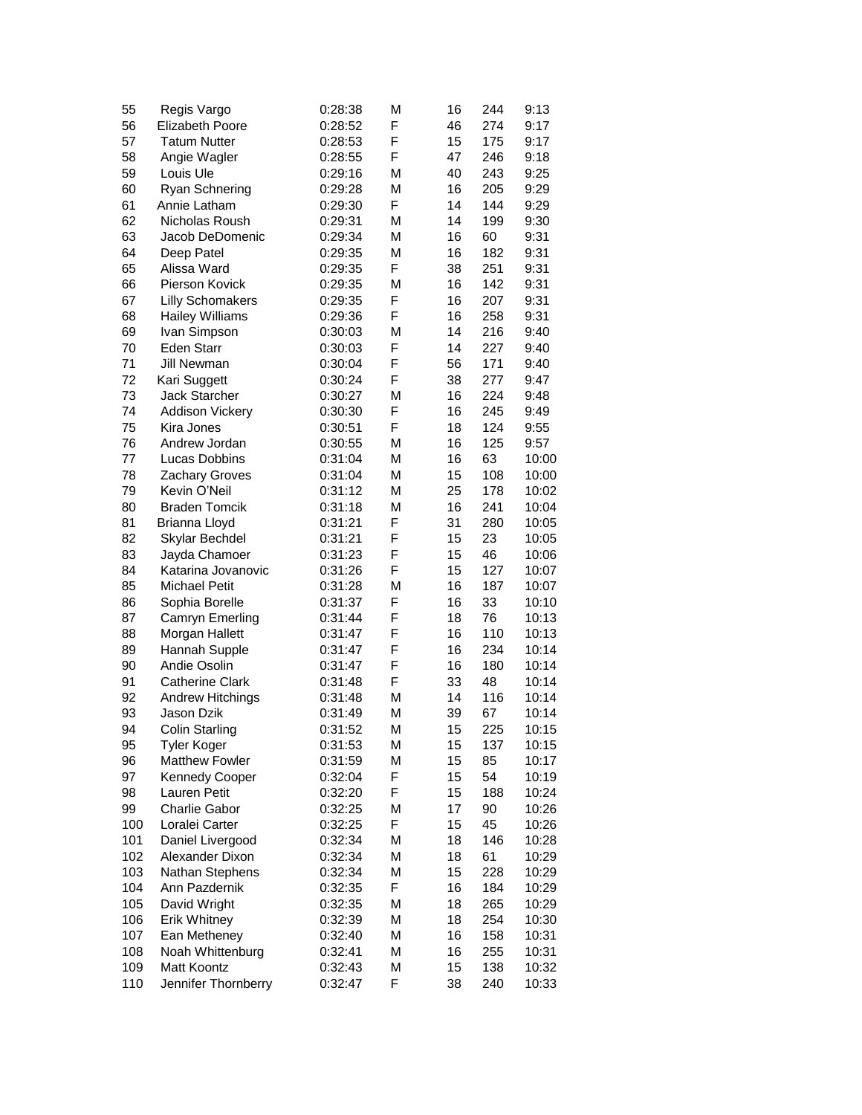| 55  | Regis Vargo             | 0:28:38 | М | 16 | 244 | 9:13  |
|-----|-------------------------|---------|---|----|-----|-------|
| 56  | <b>Elizabeth Poore</b>  | 0:28:52 | F | 46 | 274 | 9:17  |
| 57  | <b>Tatum Nutter</b>     | 0:28:53 | F | 15 | 175 | 9:17  |
| 58  | Angie Wagler            | 0:28:55 | F | 47 | 246 | 9:18  |
| 59  | Louis Ule               | 0:29:16 | М | 40 | 243 | 9:25  |
| 60  | Ryan Schnering          | 0:29:28 | М | 16 | 205 | 9:29  |
| 61  | Annie Latham            | 0:29:30 | F | 14 | 144 | 9:29  |
| 62  | Nicholas Roush          | 0:29:31 | М | 14 | 199 | 9:30  |
| 63  | Jacob DeDomenic         | 0:29:34 | М | 16 | 60  | 9:31  |
| 64  | Deep Patel              | 0:29:35 | М | 16 | 182 | 9:31  |
| 65  | Alissa Ward             | 0:29:35 | F | 38 | 251 | 9:31  |
| 66  | Pierson Kovick          | 0:29:35 | М | 16 | 142 | 9:31  |
| 67  | <b>Lilly Schomakers</b> | 0:29:35 | F | 16 | 207 | 9:31  |
| 68  | <b>Hailey Williams</b>  | 0:29:36 | F | 16 | 258 | 9:31  |
| 69  | Ivan Simpson            | 0:30:03 | M | 14 | 216 | 9:40  |
| 70  | <b>Eden Starr</b>       | 0:30:03 | F | 14 | 227 | 9:40  |
| 71  | Jill Newman             | 0:30:04 | F | 56 | 171 | 9:40  |
| 72  | Kari Suggett            | 0:30:24 | F | 38 | 277 | 9:47  |
| 73  | Jack Starcher           | 0:30:27 | М | 16 | 224 | 9:48  |
| 74  | <b>Addison Vickery</b>  | 0:30:30 | F | 16 | 245 | 9:49  |
| 75  | Kira Jones              | 0:30:51 | F | 18 | 124 | 9:55  |
| 76  | Andrew Jordan           | 0:30:55 | М | 16 | 125 | 9:57  |
| 77  | Lucas Dobbins           | 0:31:04 | М | 16 | 63  | 10:00 |
| 78  | Zachary Groves          | 0:31:04 | M | 15 | 108 | 10:00 |
| 79  | Kevin O'Neil            | 0:31:12 | M | 25 | 178 | 10:02 |
| 80  | <b>Braden Tomcik</b>    | 0:31:18 | М | 16 | 241 | 10:04 |
| 81  | Brianna Lloyd           | 0:31:21 | F | 31 | 280 | 10:05 |
| 82  | Skylar Bechdel          | 0:31:21 | F | 15 | 23  | 10:05 |
| 83  | Jayda Chamoer           | 0:31:23 | F | 15 | 46  | 10:06 |
| 84  | Katarina Jovanovic      | 0:31:26 | F | 15 | 127 | 10:07 |
| 85  | <b>Michael Petit</b>    | 0:31:28 | М | 16 | 187 | 10:07 |
| 86  | Sophia Borelle          | 0:31:37 | F | 16 | 33  | 10:10 |
| 87  | Camryn Emerling         | 0:31:44 | F | 18 | 76  | 10:13 |
| 88  | Morgan Hallett          | 0:31:47 | F | 16 | 110 | 10:13 |
| 89  | Hannah Supple           | 0:31:47 | F | 16 | 234 | 10:14 |
| 90  | Andie Osolin            | 0:31:47 | F | 16 | 180 | 10:14 |
| 91  | <b>Catherine Clark</b>  | 0:31:48 | F | 33 | 48  | 10:14 |
| 92  | <b>Andrew Hitchings</b> | 0:31:48 | М | 14 | 116 | 10:14 |
| 93  | Jason Dzik              | 0:31:49 | M | 39 | 67  | 10:14 |
| 94  | Colin Starling          | 0:31:52 | Μ | 15 | 225 | 10:15 |
| 95  | <b>Tyler Koger</b>      | 0:31:53 | М | 15 | 137 | 10:15 |
| 96  | <b>Matthew Fowler</b>   | 0:31:59 | М | 15 | 85  | 10:17 |
| 97  | <b>Kennedy Cooper</b>   | 0:32:04 | F | 15 | 54  | 10:19 |
| 98  | Lauren Petit            | 0:32:20 | F | 15 | 188 | 10:24 |
| 99  | <b>Charlie Gabor</b>    | 0:32:25 | М | 17 | 90  | 10:26 |
| 100 | Loralei Carter          | 0:32:25 | F | 15 | 45  | 10:26 |
| 101 | Daniel Livergood        | 0:32:34 | М | 18 | 146 | 10:28 |
| 102 | Alexander Dixon         | 0:32:34 | М | 18 | 61  | 10:29 |
| 103 | Nathan Stephens         | 0:32:34 | М | 15 | 228 | 10:29 |
| 104 | Ann Pazdernik           | 0:32:35 | F | 16 | 184 | 10:29 |
| 105 | David Wright            | 0:32:35 | М | 18 | 265 | 10:29 |
| 106 | Erik Whitney            | 0:32:39 | М | 18 | 254 | 10:30 |
| 107 | Ean Metheney            | 0:32:40 | М | 16 | 158 | 10:31 |
| 108 | Noah Whittenburg        | 0:32:41 | М | 16 | 255 | 10:31 |
| 109 | Matt Koontz             | 0:32:43 | М | 15 | 138 | 10:32 |
| 110 | Jennifer Thornberry     | 0:32:47 | F | 38 | 240 | 10:33 |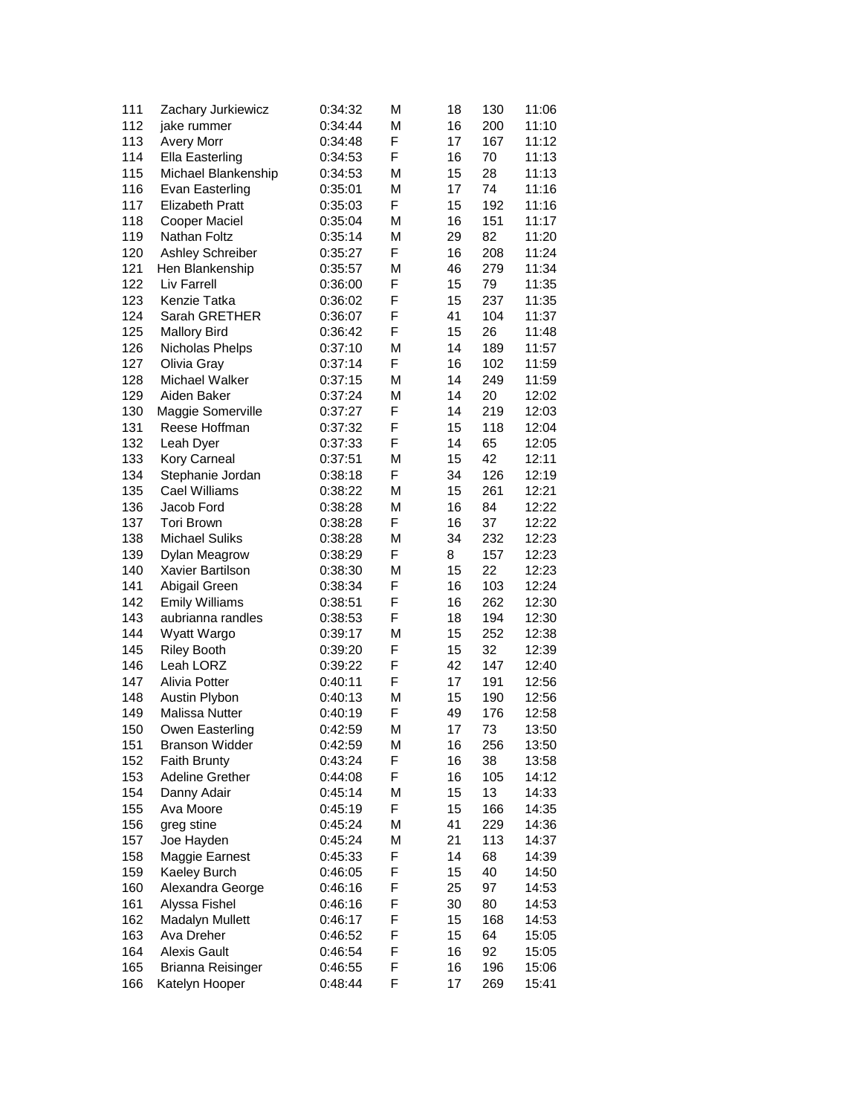| 111 | Zachary Jurkiewicz     | 0:34:32 | М | 18 | 130 | 11:06 |
|-----|------------------------|---------|---|----|-----|-------|
| 112 | jake rummer            | 0:34:44 | М | 16 | 200 | 11:10 |
| 113 | <b>Avery Morr</b>      | 0:34:48 | F | 17 | 167 | 11:12 |
| 114 | Ella Easterling        | 0:34:53 | F | 16 | 70  | 11:13 |
| 115 | Michael Blankenship    | 0:34:53 | М | 15 | 28  | 11:13 |
| 116 | Evan Easterling        | 0:35:01 | М | 17 | 74  | 11:16 |
| 117 | <b>Elizabeth Pratt</b> | 0:35:03 | F | 15 | 192 | 11:16 |
| 118 | Cooper Maciel          | 0:35:04 | М | 16 | 151 | 11:17 |
| 119 | Nathan Foltz           | 0:35:14 | М | 29 | 82  | 11:20 |
| 120 | Ashley Schreiber       | 0:35:27 | F | 16 | 208 | 11:24 |
| 121 | Hen Blankenship        | 0:35:57 | М | 46 | 279 | 11:34 |
| 122 | Liv Farrell            |         | F | 15 | 79  | 11:35 |
|     |                        | 0:36:00 |   |    |     |       |
| 123 | Kenzie Tatka           | 0:36:02 | F | 15 | 237 | 11:35 |
| 124 | Sarah GRETHER          | 0:36:07 | F | 41 | 104 | 11:37 |
| 125 | <b>Mallory Bird</b>    | 0:36:42 | F | 15 | 26  | 11:48 |
| 126 | Nicholas Phelps        | 0:37:10 | М | 14 | 189 | 11:57 |
| 127 | Olivia Gray            | 0:37:14 | F | 16 | 102 | 11:59 |
| 128 | Michael Walker         | 0:37:15 | М | 14 | 249 | 11:59 |
| 129 | Aiden Baker            | 0:37:24 | М | 14 | 20  | 12:02 |
| 130 | Maggie Somerville      | 0:37:27 | F | 14 | 219 | 12:03 |
| 131 | Reese Hoffman          | 0:37:32 | F | 15 | 118 | 12:04 |
| 132 | Leah Dyer              | 0:37:33 | F | 14 | 65  | 12:05 |
| 133 | Kory Carneal           | 0:37:51 | М | 15 | 42  | 12:11 |
| 134 | Stephanie Jordan       | 0:38:18 | F | 34 | 126 | 12:19 |
| 135 | Cael Williams          | 0:38:22 | М | 15 | 261 | 12:21 |
| 136 | Jacob Ford             | 0:38:28 | М | 16 | 84  | 12:22 |
| 137 | <b>Tori Brown</b>      | 0:38:28 | F | 16 | 37  | 12:22 |
| 138 | <b>Michael Suliks</b>  | 0:38:28 | М | 34 | 232 | 12:23 |
| 139 | Dylan Meagrow          | 0:38:29 | F | 8  | 157 | 12:23 |
|     |                        |         |   |    |     |       |
| 140 | Xavier Bartilson       | 0:38:30 | М | 15 | 22  | 12:23 |
| 141 | Abigail Green          | 0:38:34 | F | 16 | 103 | 12:24 |
| 142 | <b>Emily Williams</b>  | 0:38:51 | F | 16 | 262 | 12:30 |
| 143 | aubrianna randles      | 0:38:53 | F | 18 | 194 | 12:30 |
| 144 | Wyatt Wargo            | 0:39:17 | М | 15 | 252 | 12:38 |
| 145 | <b>Riley Booth</b>     | 0:39:20 | F | 15 | 32  | 12:39 |
| 146 | Leah LORZ              | 0:39:22 | F | 42 | 147 | 12:40 |
| 147 | Alivia Potter          | 0:40:11 | F | 17 | 191 | 12:56 |
| 148 | Austin Plybon          | 0:40:13 | М | 15 | 190 | 12:56 |
| 149 | <b>Malissa Nutter</b>  | 0:40:19 | F | 49 | 176 | 12:58 |
| 150 | Owen Easterling        | 0:42:59 | М | 17 | 73  | 13:50 |
| 151 | <b>Branson Widder</b>  | 0:42:59 | М | 16 | 256 | 13:50 |
| 152 | <b>Faith Brunty</b>    | 0:43:24 | F | 16 | 38  | 13:58 |
| 153 | <b>Adeline Grether</b> | 0:44:08 | F | 16 | 105 | 14:12 |
| 154 | Danny Adair            | 0:45:14 | Μ | 15 | 13  | 14:33 |
| 155 | Ava Moore              | 0:45:19 | F | 15 | 166 | 14:35 |
| 156 | greg stine             | 0:45:24 | М | 41 | 229 | 14:36 |
| 157 | Joe Hayden             | 0:45:24 | М | 21 | 113 | 14:37 |
| 158 | Maggie Earnest         | 0:45:33 | F | 14 | 68  | 14:39 |
| 159 | Kaeley Burch           |         | F | 15 | 40  |       |
|     |                        | 0:46:05 | F |    |     | 14:50 |
| 160 | Alexandra George       | 0:46:16 |   | 25 | 97  | 14:53 |
| 161 | Alyssa Fishel          | 0:46:16 | F | 30 | 80  | 14:53 |
| 162 | <b>Madalyn Mullett</b> | 0:46:17 | F | 15 | 168 | 14:53 |
| 163 | Ava Dreher             | 0:46:52 | F | 15 | 64  | 15:05 |
| 164 | <b>Alexis Gault</b>    | 0:46:54 | F | 16 | 92  | 15:05 |
| 165 | Brianna Reisinger      | 0:46:55 | F | 16 | 196 | 15:06 |
| 166 | Katelyn Hooper         | 0:48:44 | F | 17 | 269 | 15:41 |